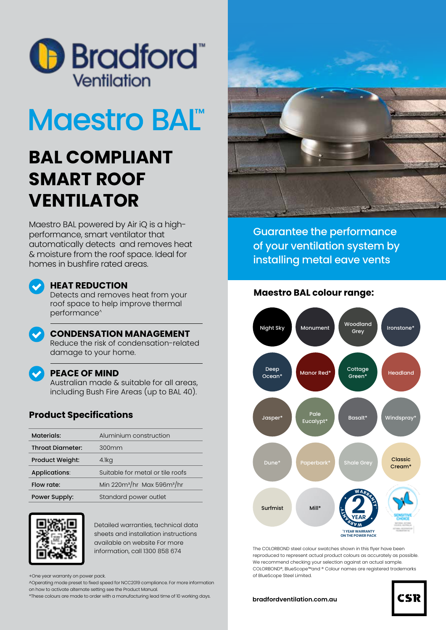

# **Maestro BALT**

# **BAL COMPLIANT SMART ROOF VENTILATOR**

Maestro BAL powered by Air iQ is a highperformance, smart ventilator that automatically detects and removes heat & moisture from the roof space. Ideal for homes in bushfire rated areas.

# **HEAT REDUCTION**

Detects and removes heat from your roof space to help improve thermal performance^



### **CONDENSATION MANAGEMENT**

Reduce the risk of condensation-related damage to your home.

## **PEACE OF MIND**

Australian made & suitable for all areas, including Bush Fire Areas (up to BAL 40).

# **Product Specifications**

| Materials:              | Aluminium construction           |  |
|-------------------------|----------------------------------|--|
| <b>Throat Diameter:</b> | 300mm                            |  |
| <b>Product Weight:</b>  | 4.lkg                            |  |
| Applications:           | Suitable for metal or tile roofs |  |
| Flow rate:              | Min $220m^3/hr$ Max 596 $m^3/hr$ |  |
| Power Supply:           | Standard power outlet            |  |



Detailed warranties, technical data sheets and installation instructions available on website For more information, call 1300 858 674

+One year warranty on power pack.

^Operating mode preset to fixed speed for NCC2019 compliance. For more information on how to activate alternate setting see the Product Manual.

\*These colours are made to order with a manufacturing lead time of 10 working days.



Guarantee the performance of your ventilation system by installing metal eave vents

# **Maestro BAL colour range:**



The COLORBOND steel colour swatches shown in this flyer have been reproduced to represent actual product colours as accurately as possible. We recommend checking your selection against an actual sample. COLORBOND®, BlueScope™and ® Colour names are registered trademarks

#### **bradfordventilation.com.au**